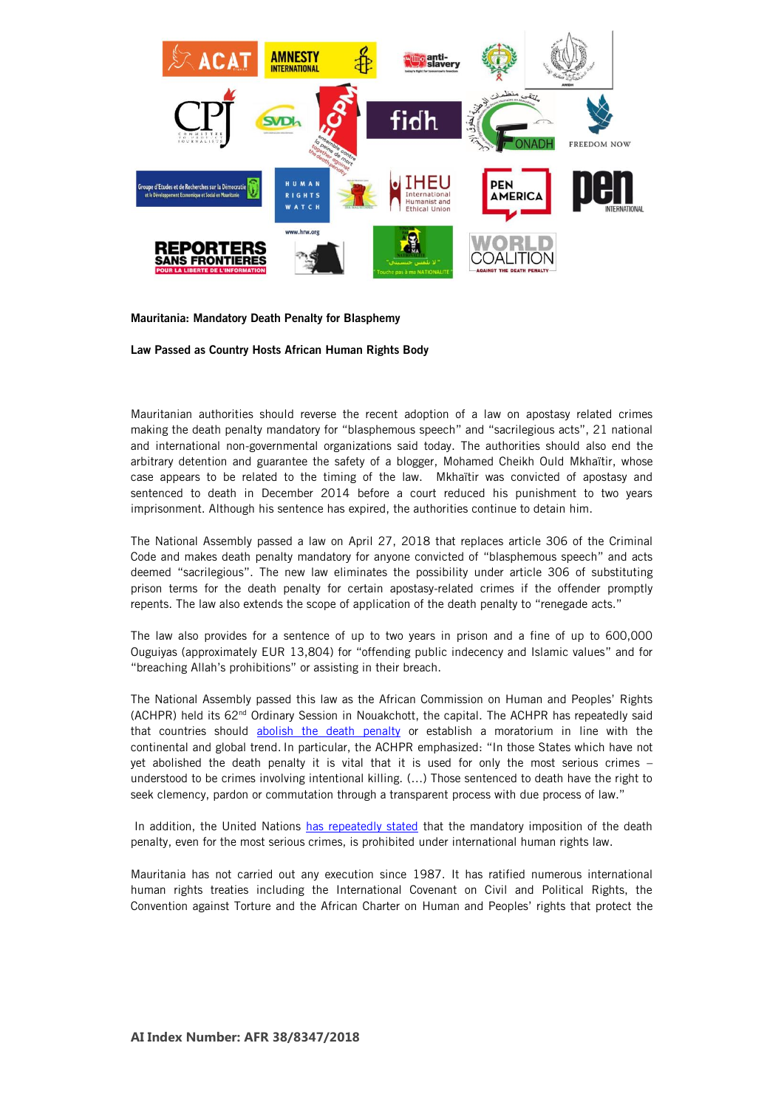

Mauritania: Mandatory Death Penalty for Blasphemy

Law Passed as Country Hosts African Human Rights Body

Mauritanian authorities should reverse the recent adoption of a law on apostasy related crimes making the death penalty mandatory for "blasphemous speech" and "sacrilegious acts", 21 national and international non-governmental organizations said today. The authorities should also end the arbitrary detention and guarantee the safety of a blogger, Mohamed Cheikh Ould Mkhaïtir, whose case appears to be related to the timing of the law. Mkhaïtir was convicted of apostasy and sentenced to death in December 2014 before a court reduced his punishment to two years imprisonment. Although his sentence has expired, the authorities continue to detain him.

The National Assembly passed a law on April 27, 2018 that replaces article 306 of the Criminal Code and makes death penalty mandatory for anyone convicted of "blasphemous speech" and acts deemed "sacrilegious". The new law eliminates the possibility under article 306 of substituting prison terms for the death penalty for certain apostasy-related crimes if the offender promptly repents. The law also extends the scope of application of the death penalty to "renegade acts."

The law also provides for a sentence of up to two years in prison and a fine of up to 600,000 Ouguiyas (approximately EUR 13,804) for "offending public indecency and Islamic values" and for "breaching Allah's prohibitions" or assisting in their breach.

The National Assembly passed this law as the African Commission on Human and Peoples' Rights (ACHPR) held its 62nd Ordinary Session in Nouakchott, the capital. The ACHPR has repeatedly said that countries should [abolish the death penalty](http://www.achpr.org/instruments/general-comments-right-to-life/) or establish a moratorium in line with the continental and global trend. In particular, the ACHPR emphasized: "In those States which have not yet abolished the death penalty it is vital that it is used for only the most serious crimes – understood to be crimes involving intentional killing. (…) Those sentenced to death have the right to seek clemency, pardon or commutation through a transparent process with due process of law."

In addition, the United Nations [has repeatedly stated](https://documents-dds-ny.un.org/doc/UNDOC/GEN/G07/105/00/PDF/G0710500.pdf?OpenElement) that the mandatory imposition of the death penalty, even for the most serious crimes, is prohibited under international human rights law.

Mauritania has not carried out any execution since 1987. It has ratified numerous international human rights treaties including the International Covenant on Civil and Political Rights, the Convention against Torture and the African Charter on Human and Peoples' rights that protect the